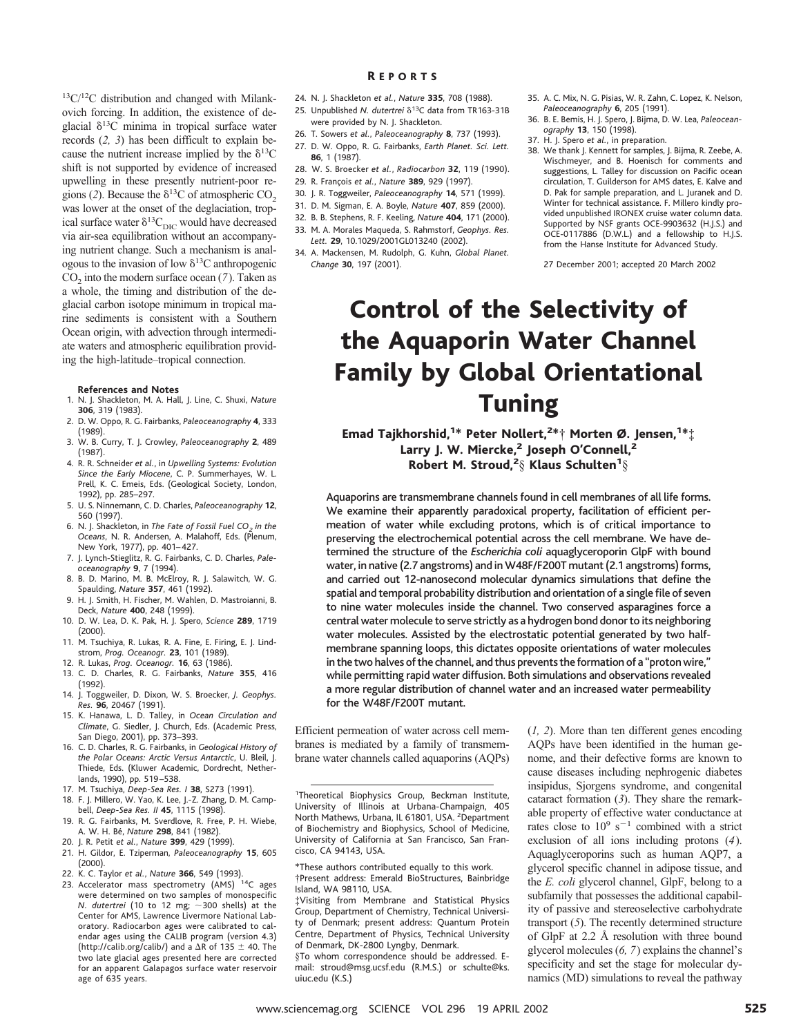13C/12C distribution and changed with Milankovich forcing. In addition, the existence of deglacial  $\delta^{13}$ C minima in tropical surface water records (*2, 3*) has been difficult to explain because the nutrient increase implied by the  $\delta^{13}$ C shift is not supported by evidence of increased upwelling in these presently nutrient-poor regions (2). Because the  $\delta^{13}$ C of atmospheric CO<sub>2</sub> was lower at the onset of the deglaciation, tropical surface water  $\delta^{13}C_{\text{DIC}}$  would have decreased via air-sea equilibration without an accompanying nutrient change. Such a mechanism is analogous to the invasion of low  $\delta^{13}$ C anthropogenic  $CO<sub>2</sub>$  into the modern surface ocean ( $7$ ). Taken as a whole, the timing and distribution of the deglacial carbon isotope minimum in tropical marine sediments is consistent with a Southern Ocean origin, with advection through intermediate waters and atmospheric equilibration providing the high-latitude–tropical connection.

#### **References and Notes**

- 1. N. J. Shackleton, M. A. Hall, J. Line, C. Shuxi, *Nature* **306**, 319 (1983). 2. D. W. Oppo, R. G. Fairbanks, *Paleoceanography* **4**, 333
- (1989). 3. W. B. Curry, T. J. Crowley, *Paleoceanography* **2**, 489
- (1987). 4. R. R. Schneider *et al.*, in *Upwelling Systems: Evolution Since the Early Miocene*, C. P. Summerhayes, W. L. Prell, K. C. Emeis, Eds. (Geological Society, London,
- 1992), pp. 285–297. 5. U. S. Ninnemann, C. D. Charles, *Paleoceanography* **12**, 560 (1997).
- 6. N. J. Shackleton, in *The Fate of Fossil Fuel CO2 in the Oceans*, N. R. Andersen, A. Malahoff, Eds. (Plenum, New York, 1977), pp. 401–427.
- 7. J. Lynch-Stieglitz, R. G. Fairbanks, C. D. Charles, *Paleoceanography* **9**, 7 (1994).
- 8. B. D. Marino, M. B. McElroy, R. J. Salawitch, W. G. Spaulding, *Nature* **357**, 461 (1992).
- 9. H. J. Smith, H. Fischer, M. Wahlen, D. Mastroianni, B. Deck, *Nature* **400**, 248 (1999).
- 10. D. W. Lea, D. K. Pak, H. J. Spero, *Science* **289**, 1719 (2000).
- 11. M. Tsuchiya, R. Lukas, R. A. Fine, E. Firing, E. J. Lindstrom, *Prog. Oceanogr.* **23**, 101 (1989).
- 12. R. Lukas, *Prog. Oceanogr.* **16**, 63 (1986).
- 13. C. D. Charles, R. G. Fairbanks, *Nature* **355**, 416 (1992).
- 14. J. Toggweiler, D. Dixon, W. S. Broecker, *J. Geophys. Res.* **96**, 20467 (1991).
- 15. K. Hanawa, L. D. Talley, in *Ocean Circulation and Climate*, G. Siedler, J. Church, Eds. (Academic Press, San Diego, 2001), pp. 373–393.
- 16. C. D. Charles, R. G. Fairbanks, in *Geological History of the Polar Oceans: Arctic Versus Antarctic*, U. Bleil, J. Thiede, Eds. (Kluwer Academic, Dordrecht, Netherlands, 1990), pp. 519–538.
- 17. M. Tsuchiya, *Deep-Sea Res. I* **38**, S273 (1991).
- 18. F. J. Millero, W. Yao, K. Lee, J.-Z. Zhang, D. M. Campbell, *Deep-Sea Res. II* **45**, 1115 (1998).
- 19. R. G. Fairbanks, M. Sverdlove, R. Free, P. H. Wiebe, A. W. H. Be´, *Nature* **298**, 841 (1982).
- 20. J. R. Petit *et al.*, *Nature* **399**, 429 (1999). 21. H. Gildor, E. Tziperman, *Paleoceanography* **15**, 605
- (2000).
- 22. K. C. Taylor *et al.*, *Nature* **366**, 549 (1993).
- 23. Accelerator mass spectrometry (AMS) <sup>14</sup>C ages were determined on two samples of monospecific *N. dutertrei* (10 to 12 mg;  $\sim$ 300 shells) at the Center for AMS, Lawrence Livermore National Laboratory. Radiocarbon ages were calibrated to calendar ages using the CALIB program (version 4.3) (http://calib.org/calib/) and a  $\Delta$ R of 135  $\pm$  40. The two late glacial ages presented here are corrected for an apparent Galapagos surface water reservoir age of 635 years.
- 24. N. J. Shackleton *et al.*, *Nature* **335**, 708 (1988). R EPORTS
- 25. Unpublished *N. dutertrei*  $\delta^{13}$ C data from TR163-31B were provided by N. J. Shackleton.
- 26. T. Sowers *et al.*, *Paleoceanography* **8**, 737 (1993).
- 27. D. W. Oppo, R. G. Fairbanks, *Earth Planet. Sci. Lett.* **86**, 1 (1987).
- 28. W. S. Broecker *et al.*, *Radiocarbon* **32**, 119 (1990).
- 29. R. Franc¸ois *et al.*, *Nature* **389**, 929 (1997).
- 30. J. R. Toggweiler, *Paleoceanography* **14**, 571 (1999).
- 31. D. M. Sigman, E. A. Boyle, *Nature* **407**, 859 (2000).
- 32. B. B. Stephens, R. F. Keeling, *Nature* **404**, 171 (2000).
- 33. M. A. Morales Maqueda, S. Rahmstorf, *Geophys. Res. Lett.* **29**, 10.1029/2001GL013240 (2002).
- 34. A. Mackensen, M. Rudolph, G. Kuhn, *Global Planet. Change* **30**, 197 (2001).
- 35. A. C. Mix, N. G. Pisias, W. R. Zahn, C. Lopez, K. Nelson, *Paleoceanography* **6**, 205 (1991).
- 36. B. E. Bemis, H. J. Spero, J. Bijma, D. W. Lea, *Paleoceanography* **13**, 150 (1998).
- 37. H. J. Spero *et al.*, in preparation.
	- 38. We thank J. Kennett for samples, J. Bijma, R. Zeebe, A. Wischmeyer, and B. Hoenisch for comments and suggestions, L. Talley for discussion on Pacific ocean circulation, T. Guilderson for AMS dates, E. Kalve and D. Pak for sample preparation, and L. Juranek and D. Winter for technical assistance. F. Millero kindly provided unpublished IRONEX cruise water column data. Supported by NSF grants OCE-9903632 (H.J.S.) and OCE-0117886 (D.W.L.) and a fellowship to H.J.S. from the Hanse Institute for Advanced Study.

27 December 2001; accepted 20 March 2002

# Control of the Selectivity of the Aquaporin Water Channel Family by Global Orientational Tuning

Emad Tajkhorshid,<sup>1\*</sup> Peter Nollert,<sup>2\*</sup>† Morten Ø. Jensen,<sup>1\*</sup>‡ Larry J. W. Miercke,<sup>2</sup> Joseph O'Connell,<sup>2</sup> Robert M. Stroud, $^2\S$  Klaus Schulten $^1\S$ 

Aquaporins are transmembrane channels found in cell membranes of all life forms. We examine their apparently paradoxical property, facilitation of efficient permeation of water while excluding protons, which is of critical importance to preserving the electrochemical potential across the cell membrane. We have determined the structure of the *Escherichia coli* aquaglyceroporin GlpF with bound water, in native (2.7 angstroms) and in W48F/F200T mutant (2.1 angstroms) forms, and carried out 12-nanosecond molecular dynamics simulations that define the spatial and temporal probability distribution and orientation of a single file of seven to nine water molecules inside the channel. Two conserved asparagines force a central water molecule to serve strictly as a hydrogen bond donor to its neighboring water molecules. Assisted by the electrostatic potential generated by two halfmembrane spanning loops, this dictates opposite orientations of water molecules in the two halves of the channel, and thus prevents the formation of a "proton wire," while permitting rapid water diffusion. Both simulations and observations revealed a more regular distribution of channel water and an increased water permeability for the W48F/F200T mutant.

Efficient permeation of water across cell membranes is mediated by a family of transmembrane water channels called aquaporins (AQPs)

<sup>1</sup>Theoretical Biophysics Group, Beckman Institute, University of Illinois at Urbana-Champaign, 405 North Mathews, Urbana, IL 61801, USA. <sup>2</sup>Department of Biochemistry and Biophysics, School of Medicine, University of California at San Francisco, San Francisco, CA 94143, USA.

\*These authors contributed equally to this work. †Present address: Emerald BioStructures, Bainbridge Island, WA 98110, USA.

‡Visiting from Membrane and Statistical Physics Group, Department of Chemistry, Technical University of Denmark; present address: Quantum Protein Centre, Department of Physics, Technical University of Denmark, DK-2800 Lyngby, Denmark.

§To whom correspondence should be addressed. Email: stroud@msg.ucsf.edu (R.M.S.) or schulte@ks. uiuc.edu (K.S.)

(*1, 2*). More than ten different genes encoding AQPs have been identified in the human genome, and their defective forms are known to cause diseases including nephrogenic diabetes insipidus, Sjorgens syndrome, and congenital cataract formation (*3*). They share the remarkable property of effective water conductance at rates close to  $10^9$  s<sup>-1</sup> combined with a strict exclusion of all ions including protons (*4*). Aquaglyceroporins such as human AQP7, a glycerol specific channel in adipose tissue, and the *E. coli* glycerol channel, GlpF, belong to a subfamily that possesses the additional capability of passive and stereoselective carbohydrate transport (*5*). The recently determined structure of GlpF at 2.2 Å resolution with three bound glycerol molecules (*6, 7*) explains the channel's specificity and set the stage for molecular dynamics (MD) simulations to reveal the pathway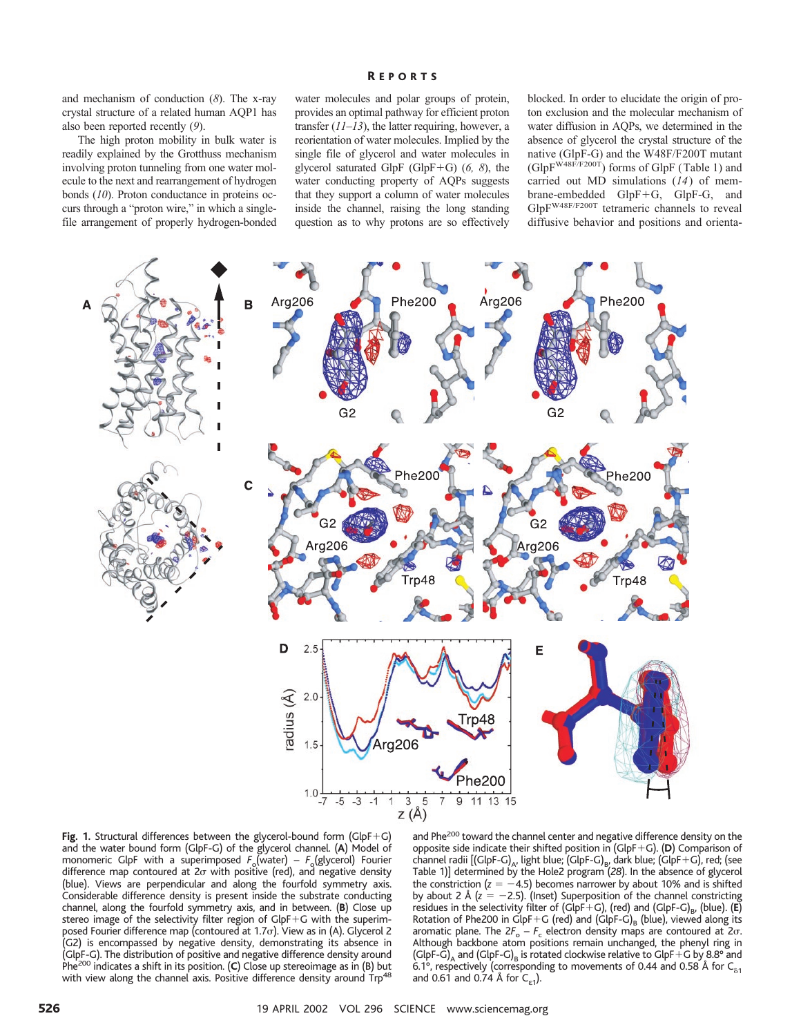and mechanism of conduction (*8*). The x-ray crystal structure of a related human AQP1 has also been reported recently (*9*).

The high proton mobility in bulk water is readily explained by the Grotthuss mechanism involving proton tunneling from one water molecule to the next and rearrangement of hydrogen bonds (*10*). Proton conductance in proteins occurs through a "proton wire," in which a singlefile arrangement of properly hydrogen-bonded

### R EPORTS

water molecules and polar groups of protein, provides an optimal pathway for efficient proton transfer (*11*–*13*), the latter requiring, however, a reorientation of water molecules. Implied by the single file of glycerol and water molecules in glycerol saturated GlpF (GlpF1G) (*6, 8*), the water conducting property of AQPs suggests that they support a column of water molecules inside the channel, raising the long standing question as to why protons are so effectively

blocked. In order to elucidate the origin of proton exclusion and the molecular mechanism of water diffusion in AQPs, we determined in the absence of glycerol the crystal structure of the native (GlpF-G) and the W48F/F200T mutant  $(GlpF<sup>W48F/F200T</sup>)$  forms of GlpF (Table 1) and carried out MD simulations (*14*) of mem $brane-embedded$   $GlpF+G$ ,  $GlpF-G$ , and GlpFW48F/F200T tetrameric channels to reveal diffusive behavior and positions and orienta-





and Phe<sup>200</sup> toward the channel center and negative difference density on the opposite side indicate their shifted position in (GlpF+G). (D) Comparison of channel radii  $\left[\text{(GlpF-G)}_{A}, \text{light blue}; \text{(GlpF-G)}_{B}, \text{dark blue}; \text{(GlpF+G)}\right]$ , red; (see Table 1)] determined by the Hole2 program (*28*). In the absence of glycerol the constriction  $(z = -4.5)$  becomes narrower by about 10% and is shifted by about 2 Å  $(z = -2.5)$ . (Inset) Superposition of the channel constricting residues in the selectivity filter of (GlpF+G), (red) and (GlpF-G)<sub>B</sub>, (blue). (**E**) Rotation of Phe200 in  $\mathsf{GlpF{+G}}$  (red) and ( $\mathsf{GlpF{-G}}_\mathsf{B}$  (blue), viewed along its aromatic plane. The  $2F_0 - F_c$  electron density maps are contoured at  $2\sigma$ . Although backbone atom positions remain unchanged, the phenyl ring in (GlpF-G)<sub>A</sub> and (GlpF-G)<sub>B</sub> is rotated clockwise relative to GlpF+G by 8.8° and 6.1°, respectively (corresponding to movements of 0.44 and 0.58 Å for  $C_{\delta1}$ and 0.61 and 0.74 Å for  $C_{\epsilon 1}$ ).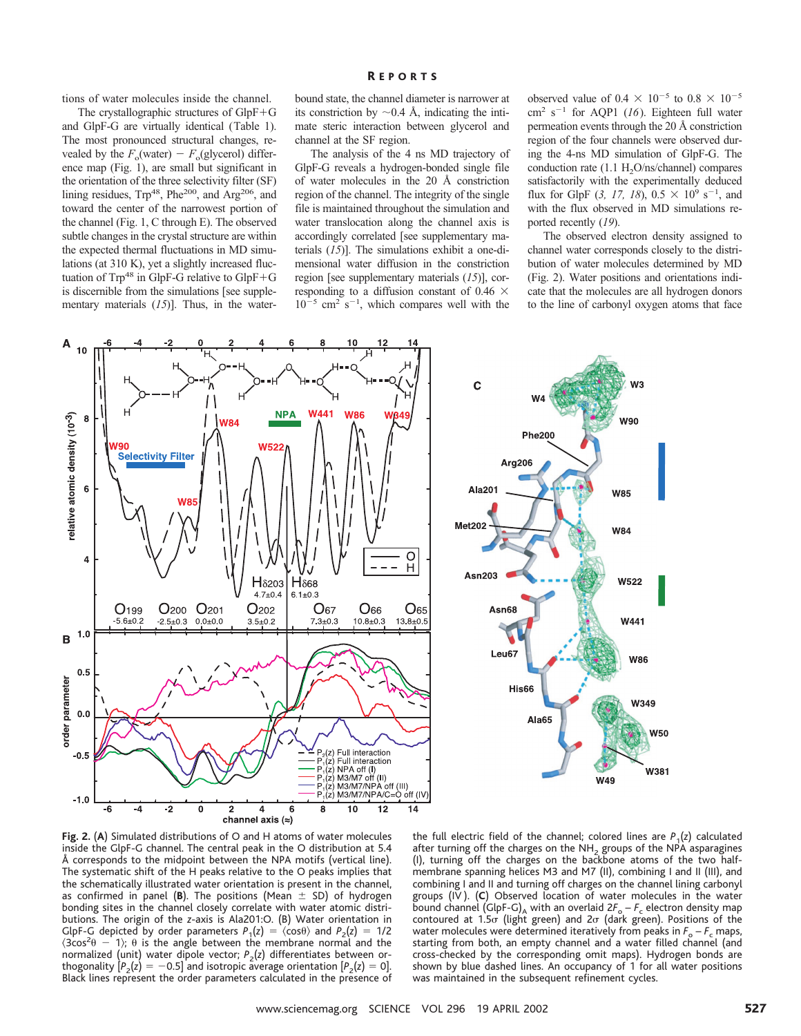## R EPORTS

tions of water molecules inside the channel.

The crystallographic structures of  $GlpF+G$ and GlpF-G are virtually identical (Table 1). The most pronounced structural changes, revealed by the  $F_0$ (water) –  $F_0$ (glycerol) difference map (Fig. 1), are small but significant in the orientation of the three selectivity filter (SF) lining residues, Trp<sup>48</sup>, Phe<sup>200</sup>, and Arg<sup>206</sup>, and toward the center of the narrowest portion of the channel (Fig. 1, C through E). The observed subtle changes in the crystal structure are within the expected thermal fluctuations in MD simulations (at 310 K), yet a slightly increased fluctuation of  $Trp^{48}$  in GlpF-G relative to GlpF+G is discernible from the simulations [see supplementary materials (*15*)]. Thus, in the water-

bound state, the channel diameter is narrower at its constriction by  $\sim 0.4$  Å, indicating the intimate steric interaction between glycerol and channel at the SF region.

The analysis of the 4 ns MD trajectory of GlpF-G reveals a hydrogen-bonded single file of water molecules in the 20 Å constriction region of the channel. The integrity of the single file is maintained throughout the simulation and water translocation along the channel axis is accordingly correlated [see supplementary materials (*15*)]. The simulations exhibit a one-dimensional water diffusion in the constriction region [see supplementary materials (*15*)], corresponding to a diffusion constant of 0.46  $\times$  $10^{-5}$  cm<sup>2</sup> s<sup>-1</sup>, which compares well with the

observed value of 0.4  $\times$  10<sup>-5</sup> to 0.8  $\times$  10<sup>-5</sup>  $cm<sup>2</sup> s<sup>-1</sup>$  for AQP1 (*16*). Eighteen full water permeation events through the 20 Å constriction region of the four channels were observed during the 4-ns MD simulation of GlpF-G. The conduction rate  $(1.1 H<sub>2</sub>O/ns/channel)$  compares satisfactorily with the experimentally deduced flux for GlpF (3, 17, 18),  $0.5 \times 10^9$  s<sup>-1</sup>, and with the flux observed in MD simulations reported recently (*19*).

The observed electron density assigned to channel water corresponds closely to the distribution of water molecules determined by MD (Fig. 2). Water positions and orientations indicate that the molecules are all hydrogen donors to the line of carbonyl oxygen atoms that face





**Fig. 2.** (**A**) Simulated distributions of O and H atoms of water molecules inside the GlpF-G channel. The central peak in the O distribution at 5.4 Å corresponds to the midpoint between the NPA motifs (vertical line). The systematic shift of the H peaks relative to the O peaks implies that the schematically illustrated water orientation is present in the channel, as confirmed in panel ( $B$ ). The positions (Mean  $\pm$  SD) of hydrogen bonding sites in the channel closely correlate with water atomic distributions. The origin of the *z*-axis is Ala201:O. (B) Water orientation in GlpF-G depicted by order parameters  $P_1(z) = \langle \cos \theta \rangle$  and  $P_2(z) = 1/2$  $\langle 3\cos^2\theta - 1 \rangle$ ;  $\theta$  is the angle between the membrane normal and the normalized (unit) water dipole vector;  $P_2(z)$  differentiates between orthogonality  $[P_2(z) = -0.5]$  and isotropic average orientation  $[P_2(z) = 0]$ . Black lines represent the order parameters calculated in the presence of

the full electric field of the channel; colored lines are  $P_1(z)$  calculated after turning off the charges on the  $NH<sub>2</sub>$  groups of the NPA asparagines (I), turning off the charges on the backbone atoms of the two halfmembrane spanning helices M3 and M7 (II), combining I and II (III), and combining I and II and turning off charges on the channel lining carbonyl groups (IV ). (**C**) Observed location of water molecules in the water bound channel (GlpF-G)<sub>A</sub> with an overlaid  $2F_o - F_c$  electron density map contoured at  $1.5\sigma$  (light green) and  $2\sigma$  (dark green). Positions of the water molecules were determined iteratively from peaks in  $F_{o} - F_{c}$  maps, starting from both, an empty channel and a water filled channel (and cross-checked by the corresponding omit maps). Hydrogen bonds are shown by blue dashed lines. An occupancy of 1 for all water positions was maintained in the subsequent refinement cycles.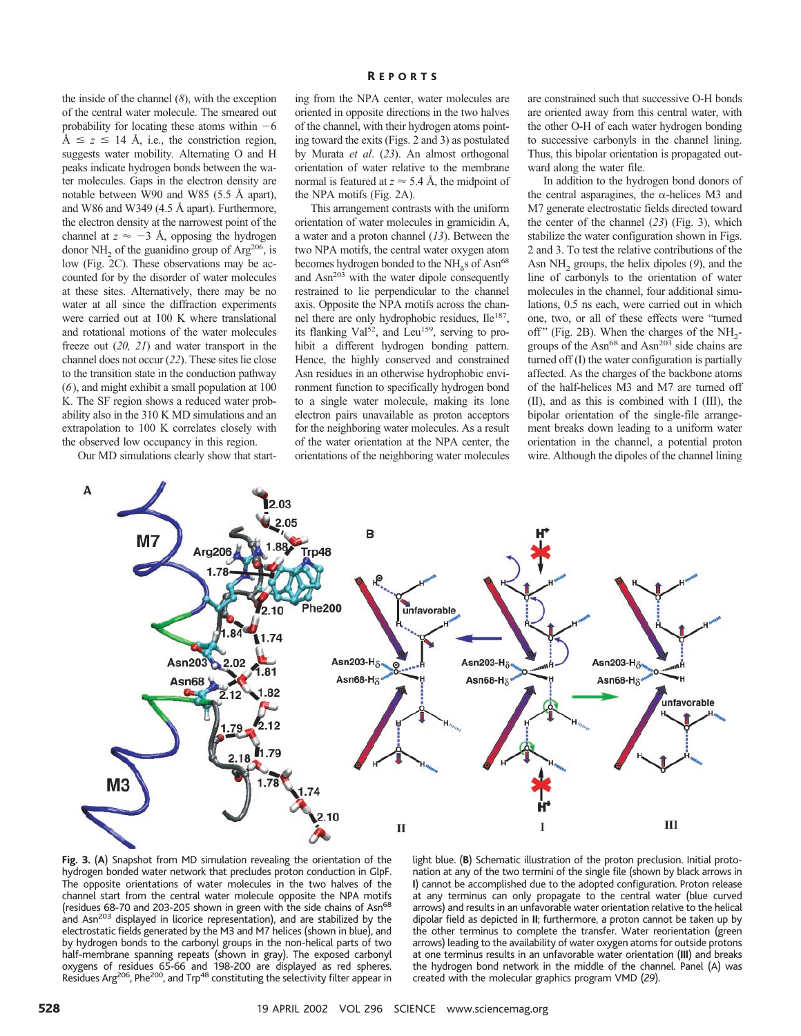the inside of the channel (*8*), with the exception of the central water molecule. The smeared out probability for locating these atoms within  $-6$  $\AA \leq z \leq 14$  Å, i.e., the constriction region, suggests water mobility*.* Alternating O and H peaks indicate hydrogen bonds between the water molecules. Gaps in the electron density are notable between W90 and W85 (5.5 Å apart), and W86 and W349 (4.5 Å apart). Furthermore, the electron density at the narrowest point of the channel at  $z \approx -3$  Å, opposing the hydrogen donor NH<sub>2</sub> of the guanidino group of Arg<sup>206</sup>, is low (Fig. 2C). These observations may be accounted for by the disorder of water molecules at these sites. Alternatively, there may be no water at all since the diffraction experiments were carried out at 100 K where translational and rotational motions of the water molecules freeze out (*20, 21*) and water transport in the channel does not occur (*22*). These sites lie close to the transition state in the conduction pathway (*6*), and might exhibit a small population at 100 K. The SF region shows a reduced water probability also in the 310 K MD simulations and an extrapolation to 100 K correlates closely with the observed low occupancy in this region.

Our MD simulations clearly show that start-

ing from the NPA center, water molecules are oriented in opposite directions in the two halves of the channel, with their hydrogen atoms pointing toward the exits (Figs. 2 and 3) as postulated by Murata *et al*. (*23*). An almost orthogonal orientation of water relative to the membrane normal is featured at  $z \approx 5.4$  Å, the midpoint of the NPA motifs (Fig. 2A).

This arrangement contrasts with the uniform orientation of water molecules in gramicidin A, a water and a proton channel (*13*). Between the two NPA motifs, the central water oxygen atom becomes hydrogen bonded to the  $NH<sub>8</sub>$ s of Asn<sup>68</sup> and Asn<sup>203</sup> with the water dipole consequently restrained to lie perpendicular to the channel axis. Opposite the NPA motifs across the channel there are only hydrophobic residues, Ile<sup>187</sup>, its flanking Val<sup>52</sup>, and Leu<sup>159</sup>, serving to prohibit a different hydrogen bonding pattern. Hence, the highly conserved and constrained Asn residues in an otherwise hydrophobic environment function to specifically hydrogen bond to a single water molecule, making its lone electron pairs unavailable as proton acceptors for the neighboring water molecules. As a result of the water orientation at the NPA center, the orientations of the neighboring water molecules are constrained such that successive O-H bonds are oriented away from this central water, with the other O-H of each water hydrogen bonding to successive carbonyls in the channel lining. Thus, this bipolar orientation is propagated outward along the water file.

In addition to the hydrogen bond donors of the central asparagines, the  $\alpha$ -helices M3 and M7 generate electrostatic fields directed toward the center of the channel (*23*) (Fig. 3), which stabilize the water configuration shown in Figs. 2 and 3. To test the relative contributions of the Asn NH<sub>2</sub> groups, the helix dipoles (9), and the line of carbonyls to the orientation of water molecules in the channel, four additional simulations, 0.5 ns each, were carried out in which one, two, or all of these effects were "turned off" (Fig. 2B). When the charges of the  $NH<sub>2</sub>$ groups of the Asn<sup>68</sup> and Asn<sup>203</sup> side chains are turned off (I) the water configuration is partially affected. As the charges of the backbone atoms of the half-helices M3 and M7 are turned off (II), and as this is combined with I (III), the bipolar orientation of the single-file arrangement breaks down leading to a uniform water orientation in the channel, a potential proton wire. Although the dipoles of the channel lining



**Fig. 3.** (**A**) Snapshot from MD simulation revealing the orientation of the hydrogen bonded water network that precludes proton conduction in GlpF. The opposite orientations of water molecules in the two halves of the channel start from the central water molecule opposite the NPA motifs (residues 68-70 and 203-205 shown in green with the side chains of Asn<sup>68</sup> and Asn<sup>203</sup> displayed in licorice representation), and are stabilized by the electrostatic fields generated by the M3 and M7 helices (shown in blue), and by hydrogen bonds to the carbonyl groups in the non-helical parts of two half-membrane spanning repeats (shown in gray). The exposed carbonyl oxygens of residues 65-66 and 198-200 are displayed as red spheres. Residues Arg<sup>206</sup>, Phe<sup>200</sup>, and Trp<sup>48</sup> constituting the selectivity filter appear in

light blue. (**B**) Schematic illustration of the proton preclusion. Initial protonation at any of the two termini of the single file (shown by black arrows in **I**) cannot be accomplished due to the adopted configuration. Proton release at any terminus can only propagate to the central water (blue curved arrows) and results in an unfavorable water orientation relative to the helical dipolar field as depicted in **II**; furthermore, a proton cannot be taken up by the other terminus to complete the transfer. Water reorientation (green arrows) leading to the availability of water oxygen atoms for outside protons at one terminus results in an unfavorable water orientation (**III**) and breaks the hydrogen bond network in the middle of the channel. Panel (A) was created with the molecular graphics program VMD (*29*).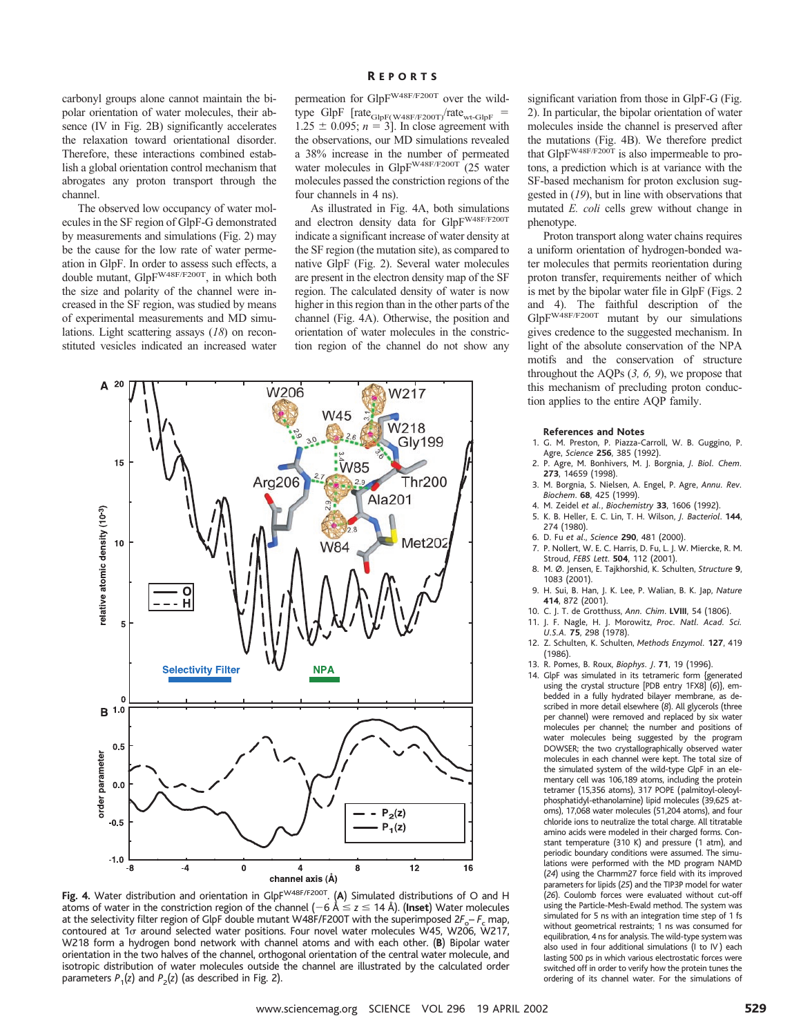carbonyl groups alone cannot maintain the bipolar orientation of water molecules, their absence (IV in Fig. 2B) significantly accelerates the relaxation toward orientational disorder. Therefore, these interactions combined establish a global orientation control mechanism that abrogates any proton transport through the channel.

The observed low occupancy of water molecules in the SF region of GlpF-G demonstrated by measurements and simulations (Fig. 2) may be the cause for the low rate of water permeation in GlpF. In order to assess such effects, a double mutant, GlpFW48F/F200T, in which both the size and polarity of the channel were increased in the SF region, was studied by means of experimental measurements and MD simulations. Light scattering assays (*18*) on reconstituted vesicles indicated an increased water

# R EPORTS

permeation for GlpFW48F/F200T over the wildtype GlpF  $[rate_{GlpF(W48F/F200T)}/rate_{wt-GlpF}$  =  $1.25 \pm 0.095$ ;  $n = 3$ ]. In close agreement with the observations, our MD simulations revealed a 38% increase in the number of permeated water molecules in GlpF<sup>W48F/F200T</sup> (25 water molecules passed the constriction regions of the four channels in 4 ns).

As illustrated in Fig. 4A, both simulations and electron density data for GlpFW48F/F200T indicate a significant increase of water density at the SF region (the mutation site), as compared to native GlpF (Fig. 2). Several water molecules are present in the electron density map of the SF region. The calculated density of water is now higher in this region than in the other parts of the channel (Fig. 4A). Otherwise, the position and orientation of water molecules in the constriction region of the channel do not show any



Fig. 4. Water distribution and orientation in GlpF<sup>W48F/F200T</sup>. (A) Simulated distributions of O and H atoms of water in the constriction region of the channel  $(-6 \text{ Å} \leq z \leq 14 \text{ Å})$ . (Inset) Water molecules at the selectivity filter region of GlpF double mutant W48F/F200T with the superimposed  $2F_c - F_c$  map, contoured at 1o around selected water positions. Four novel water molecules W45, W206, W217, W218 form a hydrogen bond network with channel atoms and with each other. (**B**) Bipolar water orientation in the two halves of the channel, orthogonal orientation of the central water molecule, and isotropic distribution of water molecules outside the channel are illustrated by the calculated order parameters  $P_1(z)$  and  $P_2(z)$  (as described in Fig. 2).

significant variation from those in GlpF-G (Fig. 2). In particular, the bipolar orientation of water molecules inside the channel is preserved after the mutations (Fig. 4B). We therefore predict that GlpFW48F/F200T is also impermeable to protons, a prediction which is at variance with the SF-based mechanism for proton exclusion suggested in (*19*), but in line with observations that mutated *E. coli* cells grew without change in phenotype.

Proton transport along water chains requires a uniform orientation of hydrogen-bonded water molecules that permits reorientation during proton transfer, requirements neither of which is met by the bipolar water file in GlpF (Figs. 2 and 4). The faithful description of the GlpF<sup>W48F/F200T</sup> mutant by our simulations gives credence to the suggested mechanism. In light of the absolute conservation of the NPA motifs and the conservation of structure throughout the AQPs (*3, 6, 9*), we propose that this mechanism of precluding proton conduction applies to the entire AQP family.

### **References and Notes**

- 1. G. M. Preston, P. Piazza-Carroll, W. B. Guggino, P. Agre, *Science* **256**, 385 (1992).
- 2. P. Agre, M. Bonhivers, M. J. Borgnia, *J. Biol. Chem.* **273**, 14659 (1998).
- 3. M. Borgnia, S. Nielsen, A. Engel, P. Agre, *Annu. Rev. Biochem*. **68**, 425 (1999).
- 4. M. Zeidel *et al.*, *Biochemistry* **33**, 1606 (1992).
- 5. K. B. Heller, E. C. Lin, T. H. Wilson, *J. Bacteriol*. **144**, 274 (1980).
- 6. D. Fu *et al*., *Science* **290**, 481 (2000).
- 7. P. Nollert, W. E. C. Harris, D. Fu, L. J. W. Miercke, R. M. Stroud, *FEBS Lett*. **504**, 112 (2001).
- 8. M. Ø. Jensen, E. Tajkhorshid, K. Schulten, *Structure* **9**, 1083 (2001).
- 9. H. Sui, B. Han, J. K. Lee, P. Walian, B. K. Jap, *Nature* **414**, 872 (2001).
- 10. C. J. T. de Grotthuss, *Ann. Chim*. **LVIII**, 54 (1806).
- 11. J. F. Nagle, H. J. Morowitz, *Proc. Natl. Acad. Sci. U.S.A.* **75**, 298 (1978).
- 12. Z. Schulten, K. Schulten, *Methods Enzymol.* **127**, 419 (1986).
- 13. R. Pomes, B. Roux, *Biophys. J*. **71**, 19 (1996).
- 14. GlpF was simulated in its tetrameric form {generated using the crystal structure [PDB entry 1FX8] (*6*)}, embedded in a fully hydrated bilayer membrane, as described in more detail elsewhere (*8*). All glycerols (three per channel) were removed and replaced by six water molecules per channel; the number and positions of water molecules being suggested by the program DOWSER; the two crystallographically observed water molecules in each channel were kept. The total size of the simulated system of the wild-type GlpF in an elementary cell was 106,189 atoms, including the protein tetramer (15,356 atoms), 317 POPE (palmitoyl-oleoylphosphatidyl-ethanolamine) lipid molecules (39,625 atoms), 17,068 water molecules (51,204 atoms), and four chloride ions to neutralize the total charge. All titratable amino acids were modeled in their charged forms. Constant temperature (310 K) and pressure (1 atm), and periodic boundary conditions were assumed. The simulations were performed with the MD program NAMD (*24*) using the Charmm27 force field with its improved parameters for lipids (*25*) and the TIP3P model for water (*26*). Coulomb forces were evaluated without cut-off using the Particle-Mesh-Ewald method. The system was simulated for 5 ns with an integration time step of 1 fs without geometrical restraints; 1 ns was consumed for equilibration, 4 ns for analysis. The wild-type system was also used in four additional simulations (I to IV ) each lasting 500 ps in which various electrostatic forces were switched off in order to verify how the protein tunes the ordering of its channel water. For the simulations of